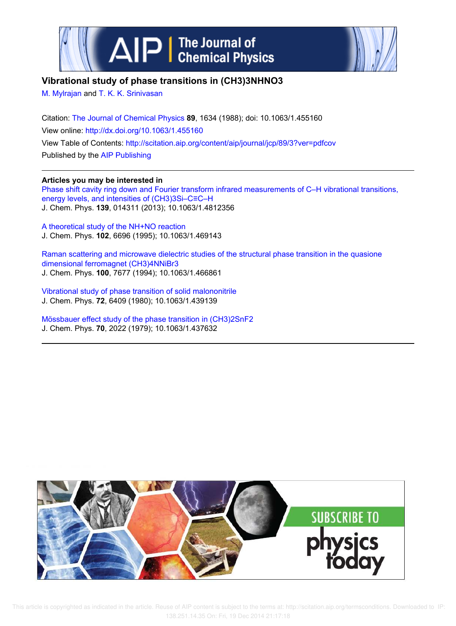



# **Vibrational study of phase transitions in (CH3)3NHNO3**

M. Mylrajan and T. K. K. Srinivasan

Citation: The Journal of Chemical Physics **89**, 1634 (1988); doi: 10.1063/1.455160 View online: http://dx.doi.org/10.1063/1.455160 View Table of Contents: http://scitation.aip.org/content/aip/journal/jcp/89/3?ver=pdfcov Published by the AIP Publishing

## **Articles you may be interested in**

Phase shift cavity ring down and Fourier transform infrared measurements of C–H vibrational transitions, energy levels, and intensities of (CH3)3Si–C≡C–H J. Chem. Phys. **139**, 014311 (2013); 10.1063/1.4812356

A theoretical study of the NH+NO reaction J. Chem. Phys. **102**, 6696 (1995); 10.1063/1.469143

Raman scattering and microwave dielectric studies of the structural phase transition in the quasione dimensional ferromagnet (CH3)4NNiBr3 J. Chem. Phys. **100**, 7677 (1994); 10.1063/1.466861

Vibrational study of phase transition of solid malononitrile J. Chem. Phys. **72**, 6409 (1980); 10.1063/1.439139

Mössbauer effect study of the phase transition in (CH3)2SnF2 J. Chem. Phys. **70**, 2022 (1979); 10.1063/1.437632

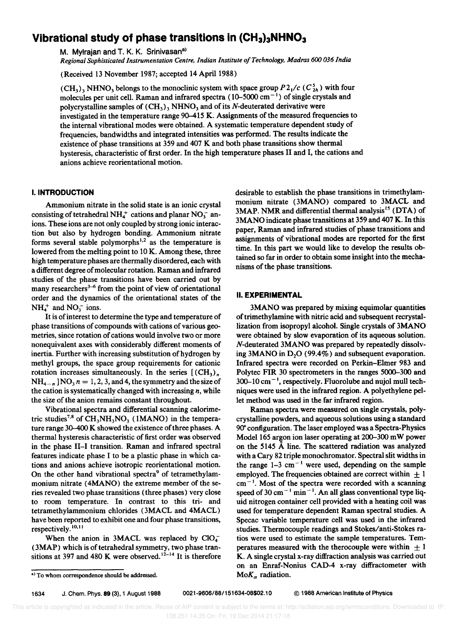# **Vibrational study of phase transitions in (CH3hNHN0<sup>3</sup>**

M. Mylrajan and T. K. K. Srinivasan<sup>a)</sup>

*Regional Sophisticated Instrumentation Centre. Indian Institute o/Technology. Madras 600 036 India* 

(Received 13 November 1987; accepted 14 April 1988)

 $(CH_3)$ , NHNO<sub>3</sub> belongs to the monoclinic system with space group  $P2_1/c$  ( $C_{2h}^5$ ) with four molecules per unit cell. Raman and infrared spectra ( $10-5000$  cm<sup>-1</sup>) of single crystals and polycrystalline samples of  $(CH_3)_3$  NHNO<sub>3</sub> and of its N-deuterated derivative were investigated in the temperature range 90–415 K. Assignments of the measured frequencies to the internal vibrational modes were obtained. A systematic temperature dependent study of frequencies, bandwidths and integrated intensities was performed. The results indicate the existence of phase transitions at 359 and 407 K and both phase transitions show thermal hysteresis, characteristic of first order. In the high temperature phases II and I, the cations and anions achieve reorientational motion.

## I. **INTRODUCTION**

Ammonium nitrate in the solid state is an ionic crystal consisting of tetrahedral NH<sub>4</sub><sup>+</sup> cations and planar NO<sub>3</sub><sup>-</sup> anions. These ions are not only coupled by strong ionic interaction but also by hydrogen bonding. Ammonium nitrate forms several stable polymorphs<sup>1,2</sup> as the temperature is lowered from the melting point to 10K. Among these, three high temperature phases are thermally disordered, each with a different degree of molecular rotation. Raman and infrared studies of the phase transitions have been carried out by many researchers<sup>3-6</sup> from the point of view of orientational order and the dynamics of the orientational states of the  $NH<sub>4</sub><sup>+</sup>$  and NO<sub>3</sub><sup>-</sup> ions.

It is of interest to determine the type and temperature of phase transitions of compounds with cations of various geometries, since rotation of cations would involve two or more nonequivalent axes with considerably different moments of inertia. Further with increasing substitution of hydrogen by methyl groups, the space group requirements for cationic rotation increases simultaneously. In the series  $[(CH_3)_n]$  $NH_{4-n}$  ]NO<sub>3</sub>  $n = 1, 2, 3$ , and 4, the symmetry and the size of the cation is systematically changed with increasing *n,* while the size of the anion remains constant throughout.

Vibrational spectra and differential scanning calorimetric studies<sup>7,8</sup> of  $CH_3NH_3NO_3$  (1MANO) in the temperature range 30-400 K showed the existence of three phases. A thermal hysteresis characteristic of first order was observed in the phase II-I transition. Raman and infrared spectral features indicate phase I to be a plastic phase in which cations and anions achieve isotropic reorientational motion. On the other hand vibrational spectra<sup>9</sup> of tetramethylammonium nitrate (4MANO) the extreme member of the series revealed two phase transitions (three phases) very close to room temperature. In contrast to this tri- and tetramethylammonium chlorides (3MACL and 4MACL) have been reported to exhibit one and four phase transitions, respectively.<sup>10,11</sup>

When the anion in 3MACL was replaced by  $ClO<sub>4</sub>$ . (3MAP) which is of tetrahedral symmetry, two phase transitions at 397 and 480 K were observed.<sup>12-14</sup> It is therefore desirable to establish the phase transitions in trimethylammonium nitrate (3MANO) compared to 3MACL and  $3MAP$ . NMR and differential thermal analysis<sup>15</sup> (DTA) of 3MANO indicate phase transitions at 359 and 407 K. In this paper, Raman and infrared studies of phase transitions and assignments of vibrational modes are reported for the first time. In this part we would like to develop the results obtained so far in order to obtain some insight into the mechanisms of the phase transitions.

### II. **EXPERIMENTAL**

3MANO was prepared by mixing equimolar quantities of trimethylamine with nitric acid and subsequent recrystallization from isopropyl alcohol. Single crystals of 3MANO were obtained by slow evaporation of its aqueous solution. N-deuterated 3MANO was prepared by repeatedly dissolving 3MANO in  $D<sub>2</sub>O$  (99.4%) and subsequent evaporation. Infrared spectra were recorded on Perkin-Elmer 983 and Polytec FIR 30 spectrometers in the ranges 5000-300 and  $300-10$  cm<sup> $-1$ </sup>, respectively. Fluorolube and nujol mull techniques were used in the infrared region. A polyethylene pellet method was used in the far infrared region.

Raman spectra were measured on single crystals, polycrystalline powders, and aqueous solutions using a standard 90· configuration. The laser employed was a Spectra-Physics Model 165 argon ion laser operating at 200-300 mW power on the 5145 A line. The scattered radiation was analyzed with a Cary 82 triple monochromator. Spectral slit widths in the range  $1-3$  cm<sup>-1</sup> were used, depending on the sample employed. The frequencies obtained are correct within  $\pm 1$  $cm<sup>-1</sup>$ . Most of the spectra were recorded with a scanning speed of 30 cm<sup> $-1$ </sup> min<sup>-1</sup>. An all glass conventional type liquid nitrogen container cell provided with a heating coil was used for temperature dependent Raman spectral studies. A Specac variable temperature cell was used in the infrared studies. Thermocouple readings and Stokes/anti-Stokes ratios were used to estimate the sample temperatures. Temperatures measured with the therocouple were within  $\pm 1$ K. A single crystal x-ray diffraction analysis was carried out on an Enraf-Nonius CAD-4 x-ray diffractometer with  $MoK_{\alpha}$  radiation.

1634 J. Chern. Phys. 89 (3). 1 August 1988 0021-9606/88/151634-08\$02.10 © 1988 American Institute of Physics

a) To whom correspondence should be addressed.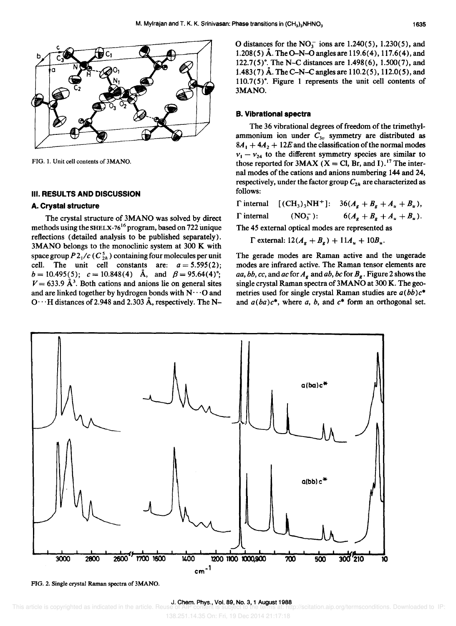

FIG. 1. Unit cell contents of 3MANO.

### **III. RESULTS AND DISCUSSION**

#### **A. Crystal structure**

The crystal structure of 3MANO was solved by direct methods using the SHELX-76<sup>16</sup> program, based on 722 unique reflections (detailed analysis to be published separately). 3MANO belongs to the monoclinic system at 300 K with space group  $P2_1/c$  ( $C_{2h}^5$ ) containing four molecules per unit cell. The unit cell constants are:  $a = 5.595(2)$ ;  $b = 10.495(5)$ ;  $c = 10.848(4)$  Å, and  $\beta = 95.64(4)$ °;  $V = 633.9 \text{ Å}^3$ . Both cations and anions lie on general sites and are linked together by hydrogen bonds with  $N \cdots$ O and  $O \cdot \cdot H$  distances of 2.948 and 2.303 Å, respectively. The N- O distances for the  $NO<sub>3</sub><sup>-</sup>$  ions are 1.240(5), 1.230(5), and 1.208(5) Å. The O-N-O angles are 119.6(4), 117.6(4), and 122.7(5)". The N-C distances are 1.498(6), 1.500(7), and 1.483(7) A. The C-N-C angles are 110.2(5), 112.0(5), and 110.7(5)°. Figure 1 represents the unit cell contents of 3MANO.

#### **B. Vibrational spectra**

The 36 vibrational degrees of freedom of the trimethylammonium ion under  $C_{3v}$  symmetry are distributed as  $8A_1 + 4A_2 + 12E$  and the classification of the normal modes  $v_1 - v_{24}$  to the different symmetry species are similar to those reported for 3MAX (X = Cl, Br, and I).<sup>17</sup> The internal modes of the cations and anions numbering **144** and 24, respectively, under the factor group  $C_{2h}$  are characterized as follows:

|                                                  |             | $\Gamma$ internal $[(CH_3)_3NH^+]$ : $36(A_g + B_g + A_u + B_u)$ , |  |  |  |  |
|--------------------------------------------------|-------------|--------------------------------------------------------------------|--|--|--|--|
| $\Gamma$ internal                                | $(NO_3^-):$ | $6(A_g + B_g + A_u + B_u).$                                        |  |  |  |  |
| The 15 external entired modes are represented as |             |                                                                    |  |  |  |  |

The 45 external optical modes are represented as

 $\Gamma$  external:  $12(A_g + B_g) + 11A_u + 10B_u$ .

The gerade modes are Raman active and the ungerade modes are infrared active. The Raman tensor elements are *aa, bb, cc, and ac for*  $A_g$  *and <i>ab, bc for*  $B_g$ *. Figure 2 shows the* single crystal Raman spectra of 3MANO at 300 K. The geometries used for single crystal Raman studies are  $a(bb)c^*$ and  $a(ba)c^*$ , where a, b, and  $c^*$  form an orthogonal set.



FIG. 2. Single crystal Raman spectra of 3MANO.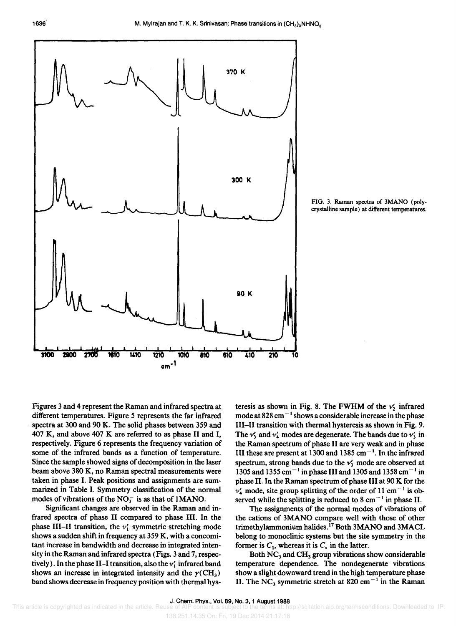

FIG. 3. Raman spectra of 3MANO (polycrystalline sample) at different temperatures.

Figures 3 and 4 represent the Raman and infrared spectra at different temperatures. Figure 5 represents the far infrared spectra at 300 and 90 K. The solid phases between 359 and 407 K, and above 407 K are referred to as phase II and I, respectively. Figure 6 represents the frequency variation of some of the infrared bands as a function of temperature. Since the sample showed signs of decomposition in the laser beam above 380 K, no Raman spectral measurements were taken in phase I. Peak positions and assignments are summarized in Table I. Symmetry classification of the normal modes of vibrations of the  $NO<sub>3</sub><sup>-</sup>$  is as that of 1MANO.

Significant changes are observed in the Raman and infrared spectra of phase II compared to phase III. In the phase III-II transition, the  $v_i$  symmetric stretching mode shows a sudden shift in frequency at 359 K, with a concomitant increase in bandwidth and decrease in integrated intensity in the Raman and infrared spectra (Figs. 3 and 7, respectively). In the phase II-I transition, also the  $v'_1$  infrared band shows an increase in integrated intensity and the  $\gamma$ (CH<sub>3</sub>) band shows decrease in frequency position with thermal hysteresis as shown in Fig. 8. The FWHM of the  $v'_2$  infrared mode at  $828 \text{ cm}^{-1}$  shows a considerable increase in the phase III-II transition with thermal hysteresis as shown in Fig. 9. The  $v'_3$  and  $v'_4$  modes are degenerate. The bands due to  $v'_3$  in the Raman spectrum of phase II are very weak and in phase III these are present at 1300 and 1385 cm<sup> $-1$ </sup>. In the infrared spectrum, strong bands due to the  $v'_1$  mode are observed at 1305 and 1355 cm<sup>-1</sup> in phase III and 1305 and 1358 cm<sup>-1</sup> in phase II. In the Raman spectrum of phase III at 90 K for the  $v_4$  mode, site group splitting of the order of 11 cm<sup>-1</sup> is observed while the splitting is reduced to 8 cm<sup> $-1$ </sup> in phase II.

The assignments of the normal modes of vibrations of the cations of 3MANO compare well with those of other trimethylammonium halides.<sup>17</sup> Both 3MANO and 3MACL belong to monoclinic systems but the site symmetry in the former is  $C_1$ , whereas it is  $C_s$  in the latter.

Both  $NC_3$  and  $CH_3$  group vibrations show considerable temperature dependence. The nondegenerate vibrations show a slight downward trend in the high temperature phase II. The NC<sub>3</sub> symmetric stretch at 820 cm<sup>-1</sup> in the Raman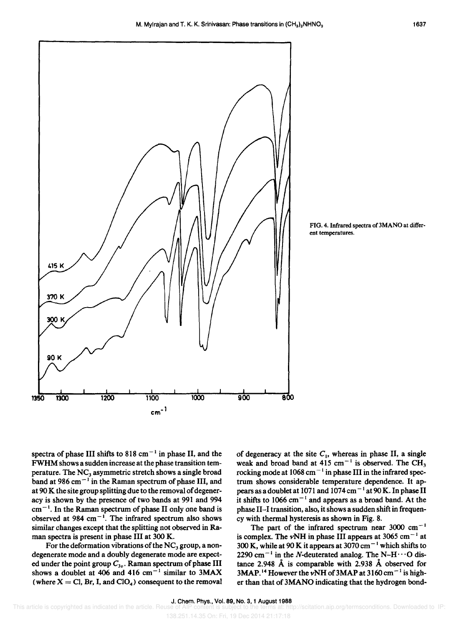

FIG. 4. Infrared spectra of 3MANO at different temperatures.

spectra of phase III shifts to 818 cm<sup> $-1$ </sup> in phase II, and the FWHM shows a sudden increase at the phase transition temperature. The  $NC_3$  asymmetric stretch shows a single broad band at 986 cm<sup> $-1$ </sup> in the Raman spectrum of phase III, and at 90 K the site group splitting due to the removal of degeneracy is shown by the presence of two bands at 991 and 994  $cm<sup>-1</sup>$ . In the Raman spectrum of phase II only one band is observed at 984 cm<sup> $-1$ </sup>. The infrared spectrum also shows similar changes except that the splitting not observed in Raman spectra is present in phase III at 300 K.

For the deformation vibrations of the  $NC<sub>3</sub>$  group, a nondegenerate mode and a doubly degenerate mode are expected under the point group *C3v '* Raman spectrum of phase III shows a doublet at 406 and 416 cm<sup>-1</sup> similar to 3MAX (where  $X = Cl$ , Br, I, and  $ClO<sub>4</sub>$ ) consequent to the removal

of degeneracy at the site  $C_1$ , whereas in phase II, a single weak and broad band at  $415 \text{ cm}^{-1}$  is observed. The CH<sub>3</sub> rocking mode at  $1068 \text{ cm}^{-1}$  in phase III in the infrared spectrum shows considerable temperature dependence. It appears as a doublet at 1071 and 1074 cm<sup>-1</sup> at 90 K. In phase II it shifts to 1066  $cm^{-1}$  and appears as a broad band. At the phase II-I transition, also, it shows a sudden shift in frequency with thermal hysteresis as shown in Fig. 8.

The part of the infrared spectrum near  $3000 \text{ cm}^{-1}$ is complex. The  $\nu$ NH in phase III appears at 3065 cm<sup>-1</sup> at 300 K, while at 90 K it appears at 3070 cm<sup> $-1$ </sup> which shifts to 2290 cm<sup>-1</sup> in the N-deuterated analog. The N-H $\cdots$ O distance 2.948 A is comparable with 2.938 A observed for 3MAP.<sup>14</sup> However the vNH of 3MAP at 3160 cm<sup>-1</sup> is higher than that of 3MANO indicating that the hydrogen bond-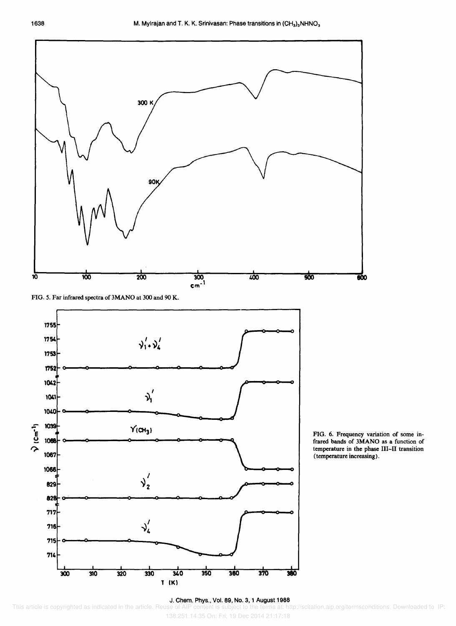

FIG. 5. Far infrared spectra of 3MANO at 300 and 90 K.



(temperature increasing).

## J. Chem. Phys., Vol. 89, No.3, 1 August 1988

138.251.14.35 On: Fri, 19 Dec 2014 21:17:18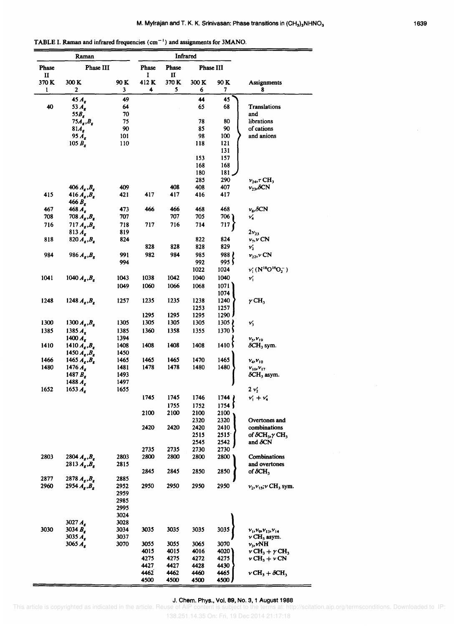TABLE I. Raman and infrared frequencies  $(cm<sup>-1</sup>)$  and assignments for 3MANO.

|                       | Raman                                            |              | Infrared                    |              |              |                    |                                                                                   |
|-----------------------|--------------------------------------------------|--------------|-----------------------------|--------------|--------------|--------------------|-----------------------------------------------------------------------------------|
| <b>Phase</b>          | Phase III                                        |              | Phase III<br>Phase<br>Phase |              |              |                    |                                                                                   |
| $\mathbf{I}$<br>370 K | 300 K                                            | 90 K         | I<br>412K                   | П<br>370 K   | 300 K        | 90 K               | Assignments                                                                       |
| 1                     | $\boldsymbol{2}$                                 | 3            | 4                           | 5            | 6            | 7                  | 8                                                                                 |
|                       | $45A_g$                                          | 49           |                             |              | 44           | 45                 |                                                                                   |
| 40                    | 53 $A_{\rm g}$                                   | 64           |                             |              | 65           | 68                 | <b>Translations</b>                                                               |
|                       | 55B,<br>$75A_g$ , $B_g$                          | 70<br>75     |                             |              | 78           | 80                 | and<br>librations                                                                 |
|                       | 81A <sub>g</sub>                                 | 90           |                             |              | 85           | 90                 | of cations                                                                        |
|                       | 95 $A_{\rm g}$                                   | 101          |                             |              | 98           | 100                | and anions                                                                        |
|                       | 105 $B_{g}$                                      | 110          |                             |              | 118          | 121                |                                                                                   |
|                       |                                                  |              |                             |              |              | 131                |                                                                                   |
|                       |                                                  |              |                             |              | 153<br>168   | 157<br>168         |                                                                                   |
|                       |                                                  |              |                             |              | 180          | 181.               |                                                                                   |
|                       |                                                  |              |                             |              | 285          | 290                | $v_{24}$ , $\tau$ CH <sub>3</sub>                                                 |
|                       | 406 $A_{g}$ , $B_{g}$                            | 409          |                             | 408          | 408          | 407                | $v_{23}$ , $\delta$ CN                                                            |
| 415                   | 416 $A_{R}$ , $B_{R}$<br>466 $B_{r}$             | 421          | 417                         | 417          | 416          | 417                |                                                                                   |
| 467                   | $468 A_{\bullet}$                                | 473          | 466                         | 466          | 468          | 468                | $\nu_{\rm s}$ , $\delta$ CN                                                       |
| 708                   | 708 $A_{g}$ , $B_{g}$                            | 707          |                             | 707          | 705          | 706 '              | ν,                                                                                |
| 716                   | 717 $A_{g}$ , $B_{g}$                            | 718          | 717                         | 716          | 714          | 717                |                                                                                   |
|                       | 813 A <sub>g</sub>                               | 819          |                             |              |              |                    | $2v_{23}$                                                                         |
| 818                   | 820 $A_{g}$ , $B_{g}$                            | 824          | 828                         | 828          | 822<br>828   | 824<br>829         | $\nu_7$ , $\nu$ CN                                                                |
| 984                   | 986 $A_{g}$ , $B_{g}$                            | 991          | 982                         | 984          | 985          | 988 }              | $v'_2$<br>$v_{22}$ , $\nu$ CN                                                     |
|                       |                                                  | 994          |                             |              | 992          | 995∫               |                                                                                   |
|                       |                                                  |              |                             |              | 1022         | 1024               | $\nu'_1(N^{18}O^{16}O_2^-)$                                                       |
| 1041                  | 1040 $A_{g}$ , $B_{g}$                           | 1043         | 1038                        | 1042         | 1040         | 1040               | v,                                                                                |
|                       |                                                  | 1049         | 1060                        | 1066         | 1068         | 1071               |                                                                                   |
|                       |                                                  |              |                             |              |              | 1074               |                                                                                   |
| 1248                  | 1248 $A_{g}$ , $B_{g}$                           | 1257         | 1235                        | 1235         | 1238<br>1253 | 1240<br>1257       | $\gamma$ CH <sub>3</sub>                                                          |
|                       |                                                  |              | 1295                        | 1295         | 1295         | $1290 \;$          |                                                                                   |
| 1300                  | 1300 $A_{R}$ , $B_{R}$                           | 1305         | 1305                        | 1305         | 1305         | $1305 \frac{1}{2}$ | $\nu'_3$                                                                          |
| 1385                  | 1385 $A_{\rm g}$                                 | 1385         | 1360                        | 1358         | 1355         | 1370)              |                                                                                   |
|                       | 1400 $A_{\rm g}$                                 | 1394         |                             |              |              |                    | $v_5$ , $v_{19}$                                                                  |
| 1410                  | 1410 $A_{g}$ , $B_{g}$<br>1450 $A_{g}$ , $B_{g}$ | 1408<br>1450 | 1408                        | 1408         | 1408         | $1410\sqrt{ }$     | $\delta$ CH <sub>3</sub> sym.                                                     |
| 1466                  | 1465 $A_{g}$ , $B_{g}$                           | 1465         | 1465                        | 1465         | 1470         | 1465               | $v_4$ , $v_{10}$                                                                  |
| 1480                  | 1476 $A_{\bullet}$                               | 1481         | 1478                        | 1478         | 1480         | 1480               | $v_{16}$ , $v_{17}$                                                               |
|                       | 1487 $B_{\rm g}$                                 | 1493         |                             |              |              |                    | $\delta$ CH <sub>3</sub> asym.                                                    |
| 1652                  | 1488A.<br>$1653 A_{\bullet}$                     | 1497<br>1655 |                             |              |              |                    |                                                                                   |
|                       |                                                  |              | 1745                        | 1745         | 1746         | 1744               | $2v_2'$<br>$v'_1 + v'_4$                                                          |
|                       |                                                  |              |                             | 1755         | 1752         | 1754               |                                                                                   |
|                       |                                                  |              | 2100                        | 2100         | 2100         | 2100               |                                                                                   |
|                       |                                                  |              |                             |              | 2320         | 2320               | Overtones and                                                                     |
|                       |                                                  |              | 2420                        | 2420         | 2420         | 2410               | combinations                                                                      |
|                       |                                                  |              |                             |              | 2515<br>2545 | 2515'<br>2542      | of $\delta CH_3$ , $\gamma$ CH <sub>3</sub><br>and $\delta$ CN                    |
|                       |                                                  |              | 2735                        | 2735         | 2730         | 2730               |                                                                                   |
| 2803                  | 2804 $A_{g}$ , $B_{g}$                           | 2803         | 2800                        | 2800         | 2800         | 2800               | Combinations                                                                      |
|                       | 2813 $A_{g}$ , $B_{g}$                           | 2815         |                             |              |              |                    | and overtones                                                                     |
| 2877                  | 2878 $A_{g}$ , $B_{g}$                           | 2885         | 2845                        | 2845         | 2850         | 2850               | of $\delta$ CH,                                                                   |
| 2960                  | 2954 $A_{g}$ , $B_{g}$                           | 2952         | 2950                        | 2950         | 2950         | 2950               | $v_2$ , $v_{15}$ ; $v$ CH <sub>3</sub> sym.                                       |
|                       |                                                  | 2959         |                             |              |              |                    |                                                                                   |
|                       |                                                  | 2985         |                             |              |              |                    |                                                                                   |
|                       |                                                  | 2995         |                             |              |              |                    |                                                                                   |
|                       | 3027 $A_{g}$                                     | 3024<br>3028 |                             |              |              |                    |                                                                                   |
| 3030                  | 3034 $B_{g}$                                     | 3034         | 3035                        | 3035         | 3035         | 3035               | $v_1, v_9, v_{13}, v_{14}$                                                        |
|                       | $3035 A_{\rm g}$                                 | 3037         |                             |              |              |                    | $\nu$ CH <sub>3</sub> asym.                                                       |
|                       | 3065 $A_{g}$                                     | 3070         | 3055                        | 3055         | 3065         | 3070               | $v_3$ , vNH                                                                       |
|                       |                                                  |              | 4015<br>4275                | 4015<br>4275 | 4016<br>4272 | 4020<br>4275       | $\nu$ CH <sub>3</sub> + $\nu$ CH <sub>3</sub><br>$\nu$ CH <sub>3</sub> + $\nu$ CN |
|                       |                                                  |              | 4427                        | 4427         | 4428         | 4430               |                                                                                   |
|                       |                                                  |              | 4462                        | 4462         | 4460         | 4465               | $\nu$ CH <sub>3</sub> + $\delta$ CH <sub>3</sub>                                  |
|                       |                                                  |              | 4500                        | 4500         | 4500         | 4500               |                                                                                   |

## J. Chern. Phys., Vol. 89, No.3, 1 August 1988

This article is copyrighted as indicated in the article. Reuse of AIP content is subject to the terms at: http://scitation.aip.org/termsconditions. Downloaded to IP:

138.251.14.35 On: Fri, 19 Dec 2014 21:17:18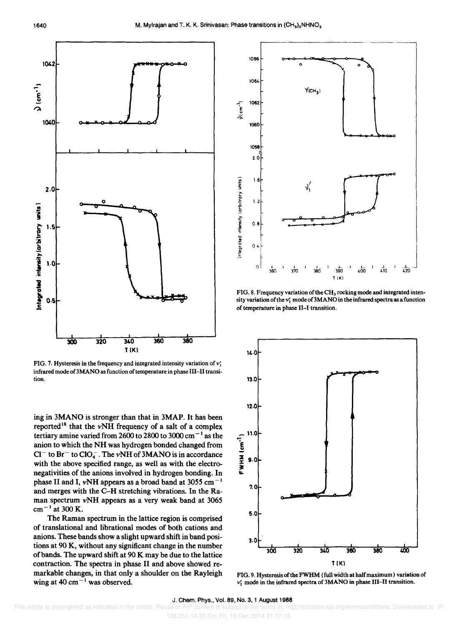

FIG. 7. Hysteresis in the frequency and integrated intensity variation of  $\nu'$ ; infrared mode of 3MANO as function of temperature in phase III-II transition.

ing in 3MANO is stronger than that in 3MAP. It has been reported<sup>18</sup> that the  $\nu$ NH frequency of a salt of a complex tertiary amine varied from 2600 to 2800 to 3000 cm<sup> $-1$ </sup> as the anion to which the NH was hydrogen bonded changed from  $Cl^-$  to  $Br^-$  to  $ClO_4^-$ . The vNH of 3MANO is in accordance with the above specified range, as well as with the electronegativities of the anions involved in hydrogen bonding. In phase II and I,  $vNH$  appears as a broad band at 3055 cm<sup>-1</sup> and merges with the C-H stretching vibrations. In the Raman spectrum vNH appears as a very weak band at 3065  $cm^{-1}$  at 300 K.

The Raman spectrum in the lattice region is comprised of translational and librational modes of both cations and anions. These bands show a slight upward shift in band positions at 90 K, without any significant change in the number of bands. The upward shift at 90 K may be due to the lattice contraction. The spectra in phase II and above showed remarkable changes, in that only a shoulder on the Rayleigh wing at 40 cm<sup> $-1$ </sup> was observed.



FIG. 8. Frequency variation of the CH<sub>3</sub> rocking mode and integrated intensity variation of the  $v'_1$  mode of 3MANO in the infrared spectra as a function of temperature in phase II-I transition.



FIG. 9. Hysteresis of the FWHM (full width at half maximum) variation of  $v'_2$  mode in the infrared spectra of 3MANO in phase III-II transition.

#### J. Chern. Phys., Vol. 89, No.3, 1 August 1988